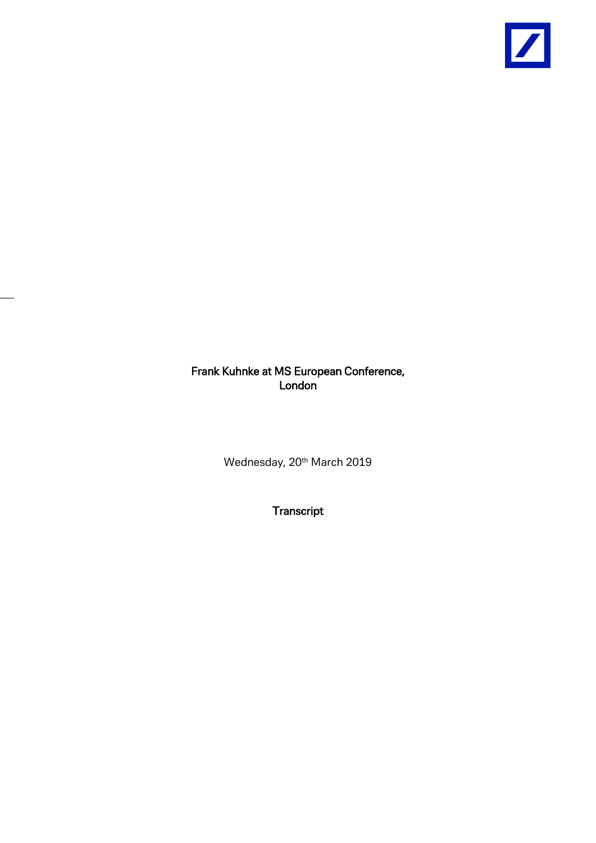

## Frank Kuhnke at MS European Conference, London<sup>1</sup>

Wednesday, 20<sup>th</sup> March 2019

**Transcript**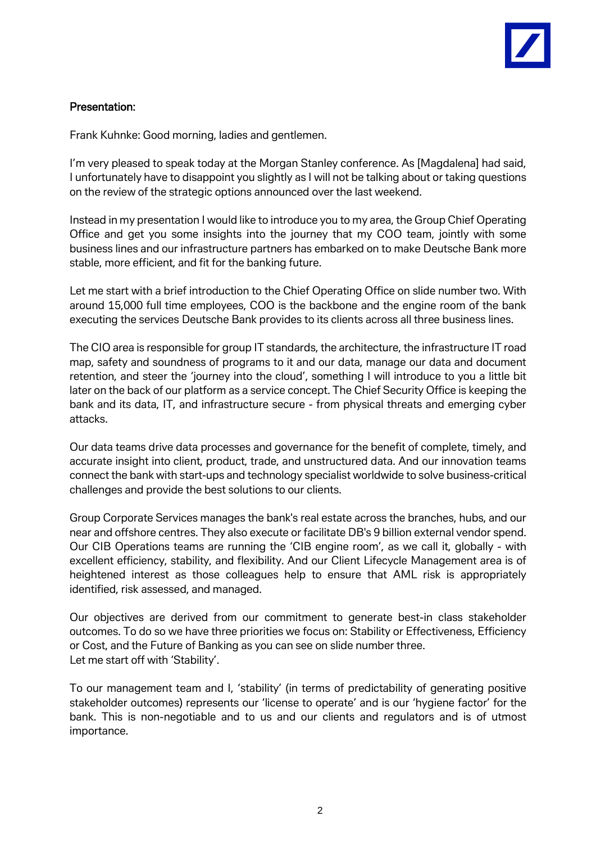## Presentation:

Frank Kuhnke: Good morning, ladies and gentlemen.

I'm very pleased to speak today at the Morgan Stanley conference. As [Magdalena] had said, I unfortunately have to disappoint you slightly as I will not be talking about or taking questions on the review of the strategic options announced over the last weekend.

Instead in my presentation I would like to introduce you to my area, the Group Chief Operating Office and get you some insights into the journey that my COO team, jointly with some business lines and our infrastructure partners has embarked on to make Deutsche Bank more stable, more efficient, and fit for the banking future.

Let me start with a brief introduction to the Chief Operating Office on slide number two. With around 15,000 full time employees, COO is the backbone and the engine room of the bank executing the services Deutsche Bank provides to its clients across all three business lines.

The CIO area is responsible for group IT standards, the architecture, the infrastructure IT road map, safety and soundness of programs to it and our data, manage our data and document retention, and steer the 'journey into the cloud', something I will introduce to you a little bit later on the back of our platform as a service concept. The Chief Security Office is keeping the bank and its data, IT, and infrastructure secure - from physical threats and emerging cyber attacks.

Our data teams drive data processes and governance for the benefit of complete, timely, and accurate insight into client, product, trade, and unstructured data. And our innovation teams connect the bank with start-ups and technology specialist worldwide to solve business-critical challenges and provide the best solutions to our clients.

Group Corporate Services manages the bank's real estate across the branches, hubs, and our near and offshore centres. They also execute or facilitate DB's 9 billion external vendor spend. Our CIB Operations teams are running the 'CIB engine room', as we call it, globally - with excellent efficiency, stability, and flexibility. And our Client Lifecycle Management area is of heightened interest as those colleagues help to ensure that AML risk is appropriately identified, risk assessed, and managed.

Our objectives are derived from our commitment to generate best-in class stakeholder outcomes. To do so we have three priorities we focus on: Stability or Effectiveness, Efficiency or Cost, and the Future of Banking as you can see on slide number three. Let me start off with 'Stability'.

To our management team and I, 'stability' (in terms of predictability of generating positive stakeholder outcomes) represents our 'license to operate' and is our 'hygiene factor' for the bank. This is non-negotiable and to us and our clients and regulators and is of utmost importance.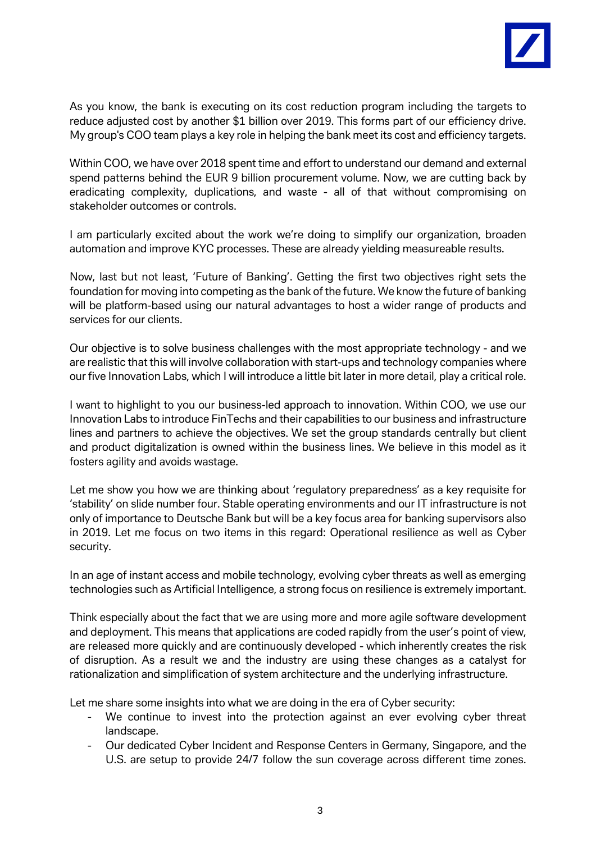

As you know, the bank is executing on its cost reduction program including the targets to reduce adjusted cost by another \$1 billion over 2019. This forms part of our efficiency drive. My group's COO team plays a key role in helping the bank meet its cost and efficiency targets.

Within COO, we have over 2018 spent time and effort to understand our demand and external spend patterns behind the EUR 9 billion procurement volume. Now, we are cutting back by eradicating complexity, duplications, and waste - all of that without compromising on stakeholder outcomes or controls.

I am particularly excited about the work we're doing to simplify our organization, broaden automation and improve KYC processes. These are already yielding measureable results.

Now, last but not least, 'Future of Banking'. Getting the first two objectives right sets the foundation for moving into competing as the bank of the future. We know the future of banking will be platform-based using our natural advantages to host a wider range of products and services for our clients.

Our objective is to solve business challenges with the most appropriate technology - and we are realistic that this will involve collaboration with start-ups and technology companies where our five Innovation Labs, which I will introduce a little bit later in more detail, play a critical role.

I want to highlight to you our business-led approach to innovation. Within COO, we use our Innovation Labs to introduce FinTechs and their capabilities to our business and infrastructure lines and partners to achieve the objectives. We set the group standards centrally but client and product digitalization is owned within the business lines. We believe in this model as it fosters agility and avoids wastage.

Let me show you how we are thinking about 'regulatory preparedness' as a key requisite for 'stability' on slide number four. Stable operating environments and our IT infrastructure is not only of importance to Deutsche Bank but will be a key focus area for banking supervisors also in 2019. Let me focus on two items in this regard: Operational resilience as well as Cyber security.

In an age of instant access and mobile technology, evolving cyber threats as well as emerging technologies such as Artificial Intelligence, a strong focus on resilience is extremely important.

Think especially about the fact that we are using more and more agile software development and deployment. This means that applications are coded rapidly from the user's point of view, are released more quickly and are continuously developed - which inherently creates the risk of disruption. As a result we and the industry are using these changes as a catalyst for rationalization and simplification of system architecture and the underlying infrastructure.

Let me share some insights into what we are doing in the era of Cyber security:

- We continue to invest into the protection against an ever evolving cyber threat landscape.
- Our dedicated Cyber Incident and Response Centers in Germany, Singapore, and the U.S. are setup to provide 24/7 follow the sun coverage across different time zones.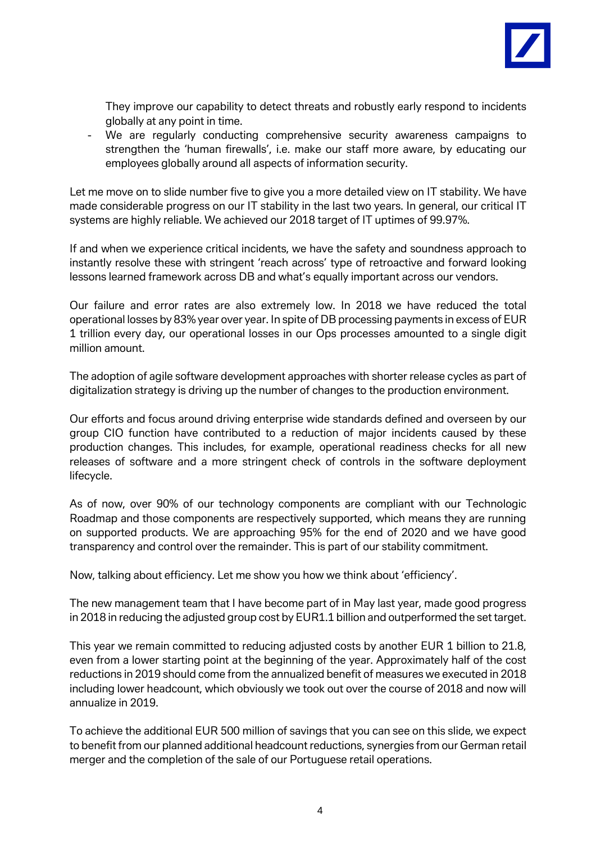

They improve our capability to detect threats and robustly early respond to incidents globally at any point in time.

- We are regularly conducting comprehensive security awareness campaigns to strengthen the 'human firewalls', i.e. make our staff more aware, by educating our employees globally around all aspects of information security.

Let me move on to slide number five to give you a more detailed view on IT stability. We have made considerable progress on our IT stability in the last two years. In general, our critical IT systems are highly reliable. We achieved our 2018 target of IT uptimes of 99.97%.

If and when we experience critical incidents, we have the safety and soundness approach to instantly resolve these with stringent 'reach across' type of retroactive and forward looking lessons learned framework across DB and what's equally important across our vendors.

Our failure and error rates are also extremely low. In 2018 we have reduced the total operational losses by 83% year over year. In spite of DB processing payments in excess of EUR 1 trillion every day, our operational losses in our Ops processes amounted to a single digit million amount.

The adoption of agile software development approaches with shorter release cycles as part of digitalization strategy is driving up the number of changes to the production environment.

Our efforts and focus around driving enterprise wide standards defined and overseen by our group CIO function have contributed to a reduction of major incidents caused by these production changes. This includes, for example, operational readiness checks for all new releases of software and a more stringent check of controls in the software deployment lifecycle.

As of now, over 90% of our technology components are compliant with our Technologic Roadmap and those components are respectively supported, which means they are running on supported products. We are approaching 95% for the end of 2020 and we have good transparency and control over the remainder. This is part of our stability commitment.

Now, talking about efficiency. Let me show you how we think about 'efficiency'.

The new management team that I have become part of in May last year, made good progress in 2018 in reducing the adjusted group cost by EUR1.1 billion and outperformed the set target.

This year we remain committed to reducing adjusted costs by another EUR 1 billion to 21.8, even from a lower starting point at the beginning of the year. Approximately half of the cost reductions in 2019 should come from the annualized benefit of measures we executed in 2018 including lower headcount, which obviously we took out over the course of 2018 and now will annualize in 2019.

To achieve the additional EUR 500 million of savings that you can see on this slide, we expect to benefit from our planned additional headcount reductions, synergies from our German retail merger and the completion of the sale of our Portuguese retail operations.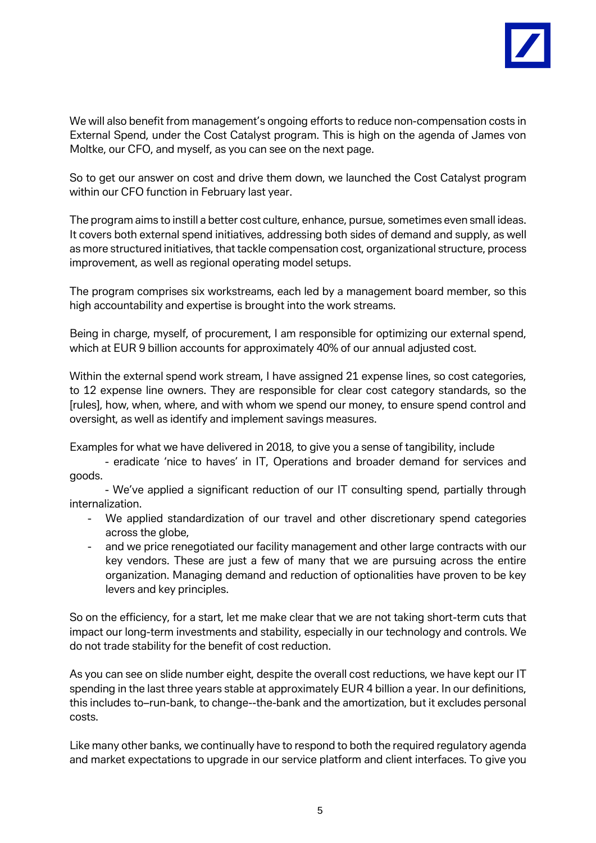

We will also benefit from management's ongoing efforts to reduce non-compensation costs in External Spend, under the Cost Catalyst program. This is high on the agenda of James von Moltke, our CFO, and myself, as you can see on the next page.

So to get our answer on cost and drive them down, we launched the Cost Catalyst program within our CFO function in February last year.

The program aims to instill a better cost culture, enhance, pursue, sometimes even small ideas. It covers both external spend initiatives, addressing both sides of demand and supply, as well as more structured initiatives, that tackle compensation cost, organizational structure, process improvement, as well as regional operating model setups.

The program comprises six workstreams, each led by a management board member, so this high accountability and expertise is brought into the work streams.

Being in charge, myself, of procurement, I am responsible for optimizing our external spend, which at EUR 9 billion accounts for approximately 40% of our annual adjusted cost.

Within the external spend work stream, I have assigned 21 expense lines, so cost categories, to 12 expense line owners. They are responsible for clear cost category standards, so the [rules], how, when, where, and with whom we spend our money, to ensure spend control and oversight, as well as identify and implement savings measures.

Examples for what we have delivered in 2018, to give you a sense of tangibility, include

- eradicate 'nice to haves' in IT, Operations and broader demand for services and goods.

- We've applied a significant reduction of our IT consulting spend, partially through internalization.

- We applied standardization of our travel and other discretionary spend categories across the globe.
- and we price renegotiated our facility management and other large contracts with our key vendors. These are just a few of many that we are pursuing across the entire organization. Managing demand and reduction of optionalities have proven to be key levers and key principles.

So on the efficiency, for a start, let me make clear that we are not taking short-term cuts that impact our long-term investments and stability, especially in our technology and controls. We do not trade stability for the benefit of cost reduction.

As you can see on slide number eight, despite the overall cost reductions, we have kept our IT spending in the last three years stable at approximately EUR 4 billion a year. In our definitions, this includes to–run-bank, to change--the-bank and the amortization, but it excludes personal costs.

Like many other banks, we continually have to respond to both the required regulatory agenda and market expectations to upgrade in our service platform and client interfaces. To give you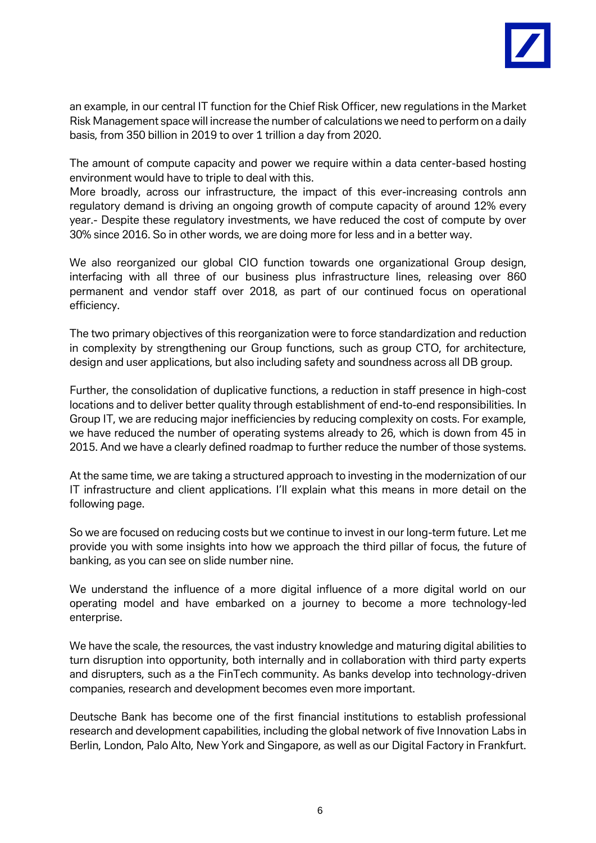

an example, in our central IT function for the Chief Risk Officer, new regulations in the Market Risk Management space will increase the number of calculations we need to perform on a daily basis, from 350 billion in 2019 to over 1 trillion a day from 2020.

The amount of compute capacity and power we require within a data center-based hosting environment would have to triple to deal with this.

More broadly, across our infrastructure, the impact of this ever-increasing controls ann regulatory demand is driving an ongoing growth of compute capacity of around 12% every year.- Despite these regulatory investments, we have reduced the cost of compute by over 30% since 2016. So in other words, we are doing more for less and in a better way.

We also reorganized our global CIO function towards one organizational Group design, interfacing with all three of our business plus infrastructure lines, releasing over 860 permanent and vendor staff over 2018, as part of our continued focus on operational efficiency.

The two primary objectives of this reorganization were to force standardization and reduction in complexity by strengthening our Group functions, such as group CTO, for architecture, design and user applications, but also including safety and soundness across all DB group.

Further, the consolidation of duplicative functions, a reduction in staff presence in high-cost locations and to deliver better quality through establishment of end-to-end responsibilities. In Group IT, we are reducing major inefficiencies by reducing complexity on costs. For example, we have reduced the number of operating systems already to 26, which is down from 45 in 2015. And we have a clearly defined roadmap to further reduce the number of those systems.

At the same time, we are taking a structured approach to investing in the modernization of our IT infrastructure and client applications. I'll explain what this means in more detail on the following page.

So we are focused on reducing costs but we continue to invest in our long-term future. Let me provide you with some insights into how we approach the third pillar of focus, the future of banking, as you can see on slide number nine.

We understand the influence of a more digital influence of a more digital world on our operating model and have embarked on a journey to become a more technology-led enterprise.

We have the scale, the resources, the vast industry knowledge and maturing digital abilities to turn disruption into opportunity, both internally and in collaboration with third party experts and disrupters, such as a the FinTech community. As banks develop into technology-driven companies, research and development becomes even more important.

Deutsche Bank has become one of the first financial institutions to establish professional research and development capabilities, including the global network of five Innovation Labs in Berlin, London, Palo Alto, New York and Singapore, as well as our Digital Factory in Frankfurt.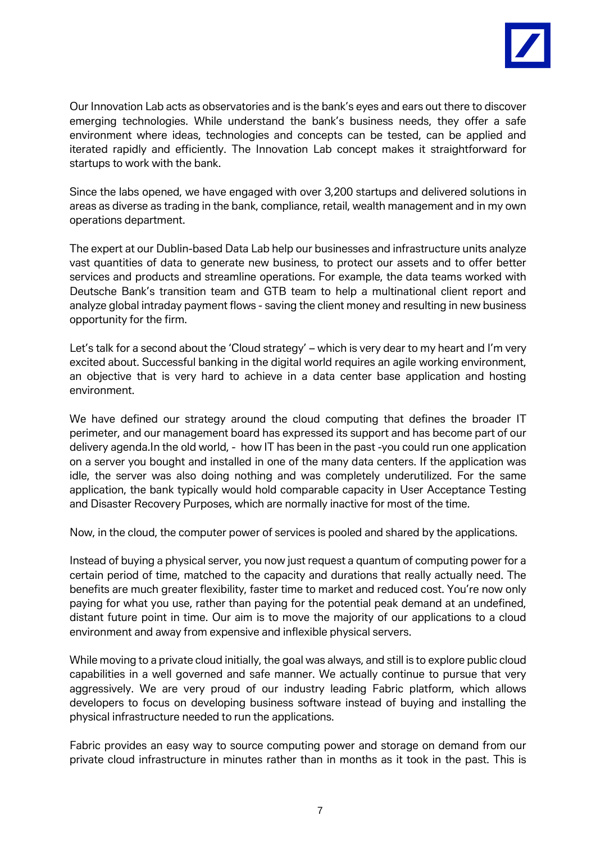

Our Innovation Lab acts as observatories and is the bank's eyes and ears out there to discover emerging technologies. While understand the bank's business needs, they offer a safe environment where ideas, technologies and concepts can be tested, can be applied and iterated rapidly and efficiently. The Innovation Lab concept makes it straightforward for startups to work with the bank.

Since the labs opened, we have engaged with over 3,200 startups and delivered solutions in areas as diverse as trading in the bank, compliance, retail, wealth management and in my own operations department.

The expert at our Dublin-based Data Lab help our businesses and infrastructure units analyze vast quantities of data to generate new business, to protect our assets and to offer better services and products and streamline operations. For example, the data teams worked with Deutsche Bank's transition team and GTB team to help a multinational client report and analyze global intraday payment flows - saving the client money and resulting in new business opportunity for the firm.

Let's talk for a second about the 'Cloud strategy' – which is very dear to my heart and I'm very excited about. Successful banking in the digital world requires an agile working environment, an objective that is very hard to achieve in a data center base application and hosting environment.

We have defined our strategy around the cloud computing that defines the broader IT perimeter, and our management board has expressed its support and has become part of our delivery agenda.In the old world, - how IT has been in the past -you could run one application on a server you bought and installed in one of the many data centers. If the application was idle, the server was also doing nothing and was completely underutilized. For the same application, the bank typically would hold comparable capacity in User Acceptance Testing and Disaster Recovery Purposes, which are normally inactive for most of the time.

Now, in the cloud, the computer power of services is pooled and shared by the applications.

Instead of buying a physical server, you now just request a quantum of computing power for a certain period of time, matched to the capacity and durations that really actually need. The benefits are much greater flexibility, faster time to market and reduced cost. You're now only paying for what you use, rather than paying for the potential peak demand at an undefined, distant future point in time. Our aim is to move the majority of our applications to a cloud environment and away from expensive and inflexible physical servers.

While moving to a private cloud initially, the goal was always, and still is to explore public cloud capabilities in a well governed and safe manner. We actually continue to pursue that very aggressively. We are very proud of our industry leading Fabric platform, which allows developers to focus on developing business software instead of buying and installing the physical infrastructure needed to run the applications.

Fabric provides an easy way to source computing power and storage on demand from our private cloud infrastructure in minutes rather than in months as it took in the past. This is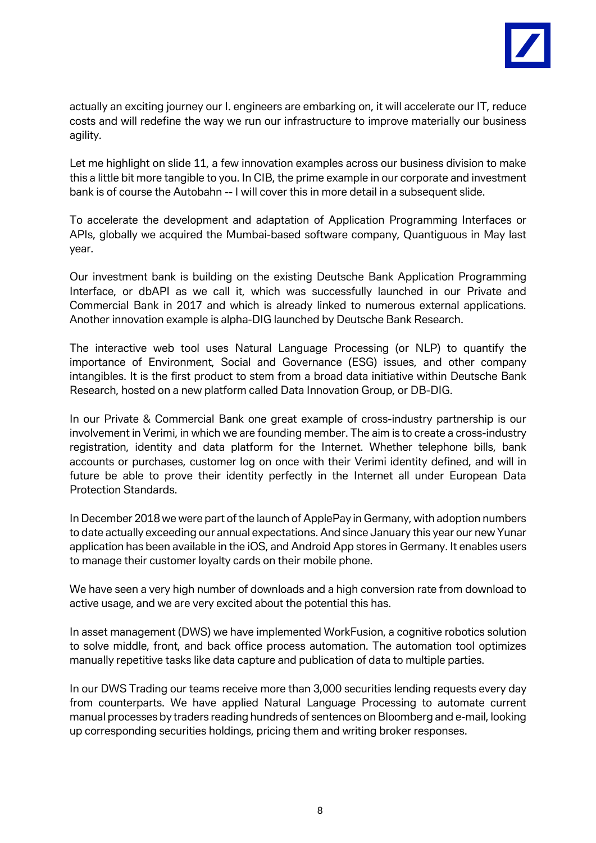

actually an exciting journey our I. engineers are embarking on, it will accelerate our IT, reduce costs and will redefine the way we run our infrastructure to improve materially our business agility.

Let me highlight on slide 11, a few innovation examples across our business division to make this a little bit more tangible to you. In CIB, the prime example in our corporate and investment bank is of course the Autobahn -- I will cover this in more detail in a subsequent slide.

To accelerate the development and adaptation of Application Programming Interfaces or APIs, globally we acquired the Mumbai-based software company, Quantiguous in May last year.

Our investment bank is building on the existing Deutsche Bank Application Programming Interface, or dbAPI as we call it, which was successfully launched in our Private and Commercial Bank in 2017 and which is already linked to numerous external applications. Another innovation example is alpha-DIG launched by Deutsche Bank Research.

The interactive web tool uses Natural Language Processing (or NLP) to quantify the importance of Environment, Social and Governance (ESG) issues, and other company intangibles. It is the first product to stem from a broad data initiative within Deutsche Bank Research, hosted on a new platform called Data Innovation Group, or DB-DIG.

In our Private & Commercial Bank one great example of cross-industry partnership is our involvement in Verimi, in which we are founding member. The aim is to create a cross-industry registration, identity and data platform for the Internet. Whether telephone bills, bank accounts or purchases, customer log on once with their Verimi identity defined, and will in future be able to prove their identity perfectly in the Internet all under European Data Protection Standards.

In December 2018 we were part of the launch of ApplePay in Germany, with adoption numbers to date actually exceeding our annual expectations. And since January this year our new Yunar application has been available in the iOS, and Android App stores in Germany. It enables users to manage their customer loyalty cards on their mobile phone.

We have seen a very high number of downloads and a high conversion rate from download to active usage, and we are very excited about the potential this has.

In asset management (DWS) we have implemented WorkFusion, a cognitive robotics solution to solve middle, front, and back office process automation. The automation tool optimizes manually repetitive tasks like data capture and publication of data to multiple parties.

In our DWS Trading our teams receive more than 3,000 securities lending requests every day from counterparts. We have applied Natural Language Processing to automate current manual processes by traders reading hundreds of sentences on Bloomberg and e-mail, looking up corresponding securities holdings, pricing them and writing broker responses.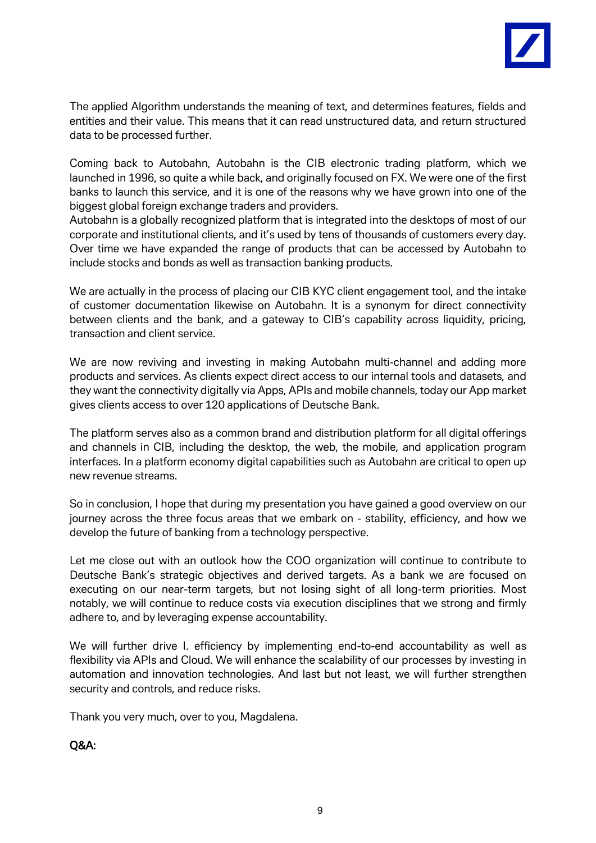

The applied Algorithm understands the meaning of text, and determines features, fields and entities and their value. This means that it can read unstructured data, and return structured data to be processed further.

Coming back to Autobahn, Autobahn is the CIB electronic trading platform, which we launched in 1996, so quite a while back, and originally focused on FX. We were one of the first banks to launch this service, and it is one of the reasons why we have grown into one of the biggest global foreign exchange traders and providers.

Autobahn is a globally recognized platform that is integrated into the desktops of most of our corporate and institutional clients, and it's used by tens of thousands of customers every day. Over time we have expanded the range of products that can be accessed by Autobahn to include stocks and bonds as well as transaction banking products.

We are actually in the process of placing our CIB KYC client engagement tool, and the intake of customer documentation likewise on Autobahn. It is a synonym for direct connectivity between clients and the bank, and a gateway to CIB's capability across liquidity, pricing, transaction and client service.

We are now reviving and investing in making Autobahn multi-channel and adding more products and services. As clients expect direct access to our internal tools and datasets, and they want the connectivity digitally via Apps, APIs and mobile channels, today our App market gives clients access to over 120 applications of Deutsche Bank.

The platform serves also as a common brand and distribution platform for all digital offerings and channels in CIB, including the desktop, the web, the mobile, and application program interfaces. In a platform economy digital capabilities such as Autobahn are critical to open up new revenue streams.

So in conclusion, I hope that during my presentation you have gained a good overview on our journey across the three focus areas that we embark on - stability, efficiency, and how we develop the future of banking from a technology perspective.

Let me close out with an outlook how the COO organization will continue to contribute to Deutsche Bank's strategic objectives and derived targets. As a bank we are focused on executing on our near-term targets, but not losing sight of all long-term priorities. Most notably, we will continue to reduce costs via execution disciplines that we strong and firmly adhere to, and by leveraging expense accountability.

We will further drive I. efficiency by implementing end-to-end accountability as well as flexibility via APIs and Cloud. We will enhance the scalability of our processes by investing in automation and innovation technologies. And last but not least, we will further strengthen security and controls, and reduce risks.

Thank you very much, over to you, Magdalena.

## Q&A: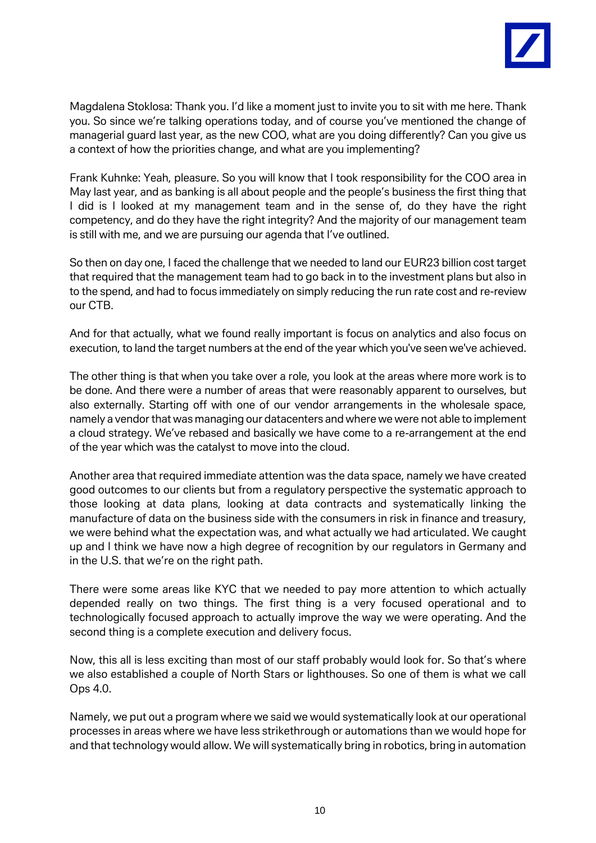

Magdalena Stoklosa: Thank you. I'd like a moment just to invite you to sit with me here. Thank you. So since we're talking operations today, and of course you've mentioned the change of managerial guard last year, as the new COO, what are you doing differently? Can you give us a context of how the priorities change, and what are you implementing?

Frank Kuhnke: Yeah, pleasure. So you will know that I took responsibility for the COO area in May last year, and as banking is all about people and the people's business the first thing that I did is I looked at my management team and in the sense of, do they have the right competency, and do they have the right integrity? And the majority of our management team is still with me, and we are pursuing our agenda that I've outlined.

So then on day one, I faced the challenge that we needed to land our EUR23 billion cost target that required that the management team had to go back in to the investment plans but also in to the spend, and had to focus immediately on simply reducing the run rate cost and re-review our CTB.

And for that actually, what we found really important is focus on analytics and also focus on execution, to land the target numbers at the end of the year which you've seen we've achieved.

The other thing is that when you take over a role, you look at the areas where more work is to be done. And there were a number of areas that were reasonably apparent to ourselves, but also externally. Starting off with one of our vendor arrangements in the wholesale space, namely a vendor that was managing our datacenters and where we were not able to implement a cloud strategy. We've rebased and basically we have come to a re-arrangement at the end of the year which was the catalyst to move into the cloud.

Another area that required immediate attention was the data space, namely we have created good outcomes to our clients but from a regulatory perspective the systematic approach to those looking at data plans, looking at data contracts and systematically linking the manufacture of data on the business side with the consumers in risk in finance and treasury, we were behind what the expectation was, and what actually we had articulated. We caught up and I think we have now a high degree of recognition by our regulators in Germany and in the U.S. that we're on the right path.

There were some areas like KYC that we needed to pay more attention to which actually depended really on two things. The first thing is a very focused operational and to technologically focused approach to actually improve the way we were operating. And the second thing is a complete execution and delivery focus.

Now, this all is less exciting than most of our staff probably would look for. So that's where we also established a couple of North Stars or lighthouses. So one of them is what we call Ops 4.0.

Namely, we put out a program where we said we would systematically look at our operational processes in areas where we have less strikethrough or automations than we would hope for and that technology would allow. We will systematically bring in robotics, bring in automation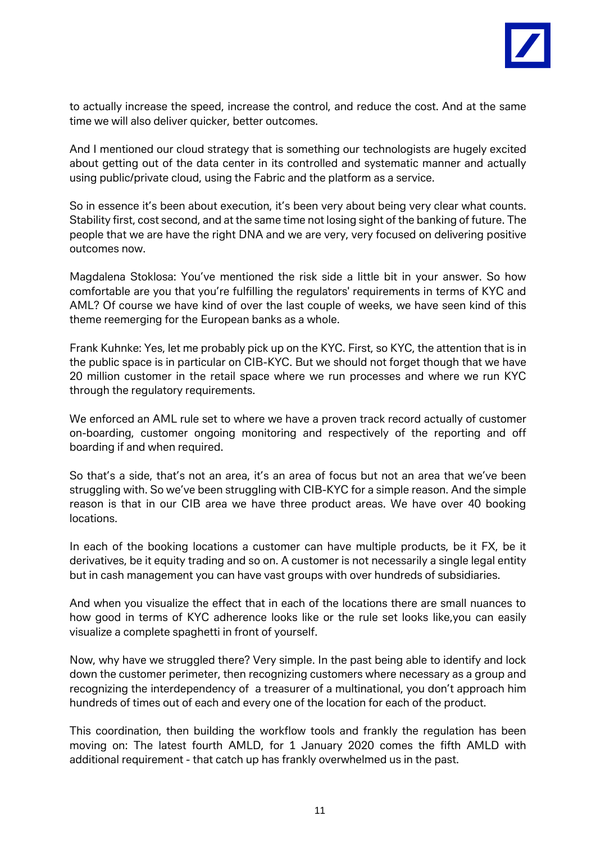

to actually increase the speed, increase the control, and reduce the cost. And at the same time we will also deliver quicker, better outcomes.

And I mentioned our cloud strategy that is something our technologists are hugely excited about getting out of the data center in its controlled and systematic manner and actually using public/private cloud, using the Fabric and the platform as a service.

So in essence it's been about execution, it's been very about being very clear what counts. Stability first, cost second, and at the same time not losing sight of the banking of future. The people that we are have the right DNA and we are very, very focused on delivering positive outcomes now.

Magdalena Stoklosa: You've mentioned the risk side a little bit in your answer. So how comfortable are you that you're fulfilling the regulators' requirements in terms of KYC and AML? Of course we have kind of over the last couple of weeks, we have seen kind of this theme reemerging for the European banks as a whole.

Frank Kuhnke: Yes, let me probably pick up on the KYC. First, so KYC, the attention that is in the public space is in particular on CIB-KYC. But we should not forget though that we have 20 million customer in the retail space where we run processes and where we run KYC through the regulatory requirements.

We enforced an AML rule set to where we have a proven track record actually of customer on-boarding, customer ongoing monitoring and respectively of the reporting and off boarding if and when required.

So that's a side, that's not an area, it's an area of focus but not an area that we've been struggling with. So we've been struggling with CIB-KYC for a simple reason. And the simple reason is that in our CIB area we have three product areas. We have over 40 booking locations.

In each of the booking locations a customer can have multiple products, be it FX, be it derivatives, be it equity trading and so on. A customer is not necessarily a single legal entity but in cash management you can have vast groups with over hundreds of subsidiaries.

And when you visualize the effect that in each of the locations there are small nuances to how good in terms of KYC adherence looks like or the rule set looks like,you can easily visualize a complete spaghetti in front of yourself.

Now, why have we struggled there? Very simple. In the past being able to identify and lock down the customer perimeter, then recognizing customers where necessary as a group and recognizing the interdependency of a treasurer of a multinational, you don't approach him hundreds of times out of each and every one of the location for each of the product.

This coordination, then building the workflow tools and frankly the regulation has been moving on: The latest fourth AMLD, for 1 January 2020 comes the fifth AMLD with additional requirement - that catch up has frankly overwhelmed us in the past.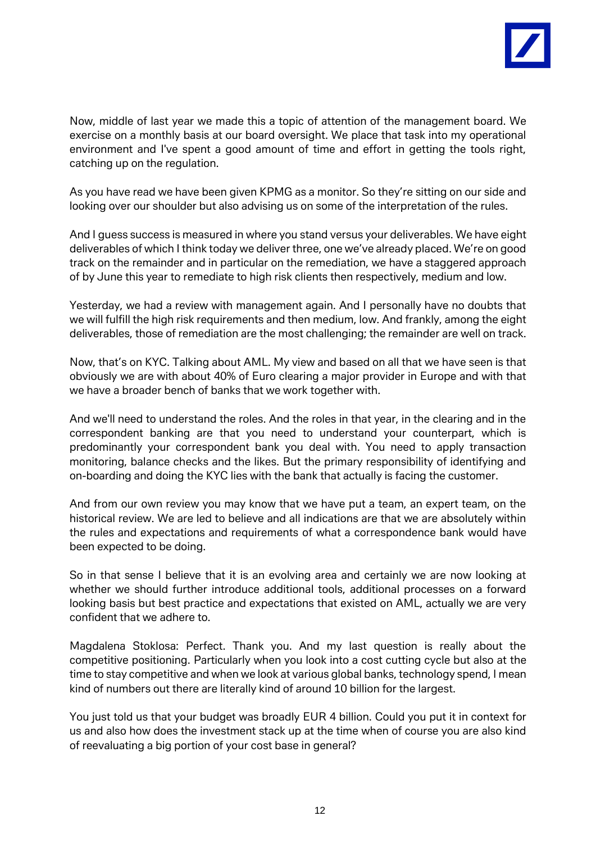

Now, middle of last year we made this a topic of attention of the management board. We exercise on a monthly basis at our board oversight. We place that task into my operational environment and I've spent a good amount of time and effort in getting the tools right, catching up on the regulation.

As you have read we have been given KPMG as a monitor. So they're sitting on our side and looking over our shoulder but also advising us on some of the interpretation of the rules.

And I guess success is measured in where you stand versus your deliverables. We have eight deliverables of which I think today we deliver three, one we've already placed. We're on good track on the remainder and in particular on the remediation, we have a staggered approach of by June this year to remediate to high risk clients then respectively, medium and low.

Yesterday, we had a review with management again. And I personally have no doubts that we will fulfill the high risk requirements and then medium, low. And frankly, among the eight deliverables, those of remediation are the most challenging; the remainder are well on track.

Now, that's on KYC. Talking about AML. My view and based on all that we have seen is that obviously we are with about 40% of Euro clearing a major provider in Europe and with that we have a broader bench of banks that we work together with.

And we'll need to understand the roles. And the roles in that year, in the clearing and in the correspondent banking are that you need to understand your counterpart, which is predominantly your correspondent bank you deal with. You need to apply transaction monitoring, balance checks and the likes. But the primary responsibility of identifying and on-boarding and doing the KYC lies with the bank that actually is facing the customer.

And from our own review you may know that we have put a team, an expert team, on the historical review. We are led to believe and all indications are that we are absolutely within the rules and expectations and requirements of what a correspondence bank would have been expected to be doing.

So in that sense I believe that it is an evolving area and certainly we are now looking at whether we should further introduce additional tools, additional processes on a forward looking basis but best practice and expectations that existed on AML, actually we are very confident that we adhere to.

Magdalena Stoklosa: Perfect. Thank you. And my last question is really about the competitive positioning. Particularly when you look into a cost cutting cycle but also at the time to stay competitive and when we look at various global banks, technology spend, I mean kind of numbers out there are literally kind of around 10 billion for the largest.

You just told us that your budget was broadly EUR 4 billion. Could you put it in context for us and also how does the investment stack up at the time when of course you are also kind of reevaluating a big portion of your cost base in general?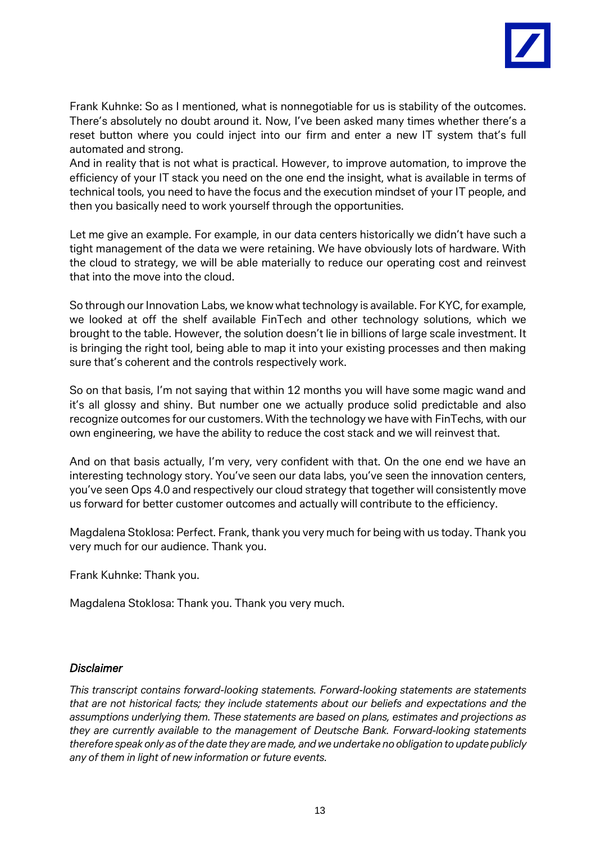

Frank Kuhnke: So as I mentioned, what is nonnegotiable for us is stability of the outcomes. There's absolutely no doubt around it. Now, I've been asked many times whether there's a reset button where you could inject into our firm and enter a new IT system that's full automated and strong.

And in reality that is not what is practical. However, to improve automation, to improve the efficiency of your IT stack you need on the one end the insight, what is available in terms of technical tools, you need to have the focus and the execution mindset of your IT people, and then you basically need to work yourself through the opportunities.

Let me give an example. For example, in our data centers historically we didn't have such a tight management of the data we were retaining. We have obviously lots of hardware. With the cloud to strategy, we will be able materially to reduce our operating cost and reinvest that into the move into the cloud.

So through our Innovation Labs, we know what technology is available. For KYC, for example, we looked at off the shelf available FinTech and other technology solutions, which we brought to the table. However, the solution doesn't lie in billions of large scale investment. It is bringing the right tool, being able to map it into your existing processes and then making sure that's coherent and the controls respectively work.

So on that basis, I'm not saying that within 12 months you will have some magic wand and it's all glossy and shiny. But number one we actually produce solid predictable and also recognize outcomes for our customers. With the technology we have with FinTechs, with our own engineering, we have the ability to reduce the cost stack and we will reinvest that.

And on that basis actually, I'm very, very confident with that. On the one end we have an interesting technology story. You've seen our data labs, you've seen the innovation centers, you've seen Ops 4.0 and respectively our cloud strategy that together will consistently move us forward for better customer outcomes and actually will contribute to the efficiency.

Magdalena Stoklosa: Perfect. Frank, thank you very much for being with us today. Thank you very much for our audience. Thank you.

Frank Kuhnke: Thank you.

Magdalena Stoklosa: Thank you. Thank you very much.

## *Disclaimer*

*This transcript contains forward-looking statements. Forward-looking statements are statements that are not historical facts; they include statements about our beliefs and expectations and the assumptions underlying them. These statements are based on plans, estimates and projections as they are currently available to the management of Deutsche Bank. Forward-looking statements therefore speak only as of the date they are made, and we undertake no obligation to update publicly any of them in light of new information or future events.*